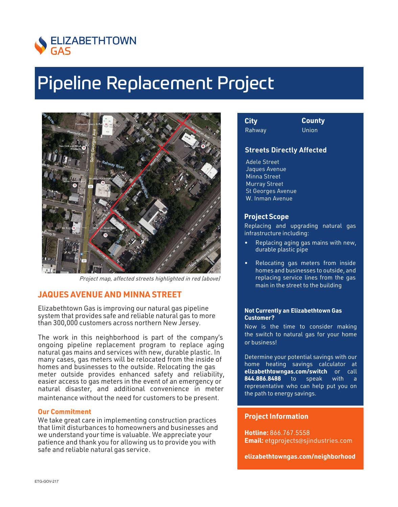

# Pipeline Replacement Project



Project map, affected streets highlighted in red (above)

# **JAQUES AVENUE AND MINNA STREET**

Elizabethtown Gas is improving our natural gas pipeline system that provides safe and reliable natural gas to more than 300,000 customers across northern New Jersey.

The work in this neighborhood is part of the company's ongoing pipeline replacement program to replace aging natural gas mains and services with new, durable plastic. In many cases, gas meters will be relocated from the inside of homes and businesses to the outside. Relocating the gas meter outside provides enhanced safety and reliability, easier access to gas meters in the event of an emergency or natural disaster, and additional convenience in meter maintenance without the need for customers to be present.

### **Our Commitment**

We take great care in implementing construction practices that limit disturbances to homeowners and businesses and we understand your time is valuable. We appreciate your patience and thank you for allowing us to provide you with safe and reliable natural gas service.

| <b>City</b> |  |
|-------------|--|
| Rahway      |  |

**City County** Union

# **Streets Directly Affected**

Adele Street Jaques Avenue Minna Street Murray Street St Georges Avenue W. Inman Avenue

### **Project Scope**

Replacing and upgrading natural gas infrastructure including:

- Replacing aging gas mains with new, durable plastic pipe
- Relocating gas meters from inside homes and businesses to outside, and replacing service lines from the gas main in the street to the building

#### **Not Currently an Elizabethtown Gas Customer?**

Now is the time to consider making the switch to natural gas for your home or business!

Determine your potential savings with our home heating savings calculator at **elizabethtowngas.com/switch** or call **844.886.8488** to speak with representative who can help put you on the path to energy savings.

# **Project Information**

**Hotline:** 866.767.5558 **Email:** etgprojects@sjindustries.com

**elizabethtowngas.com/neighborhood**